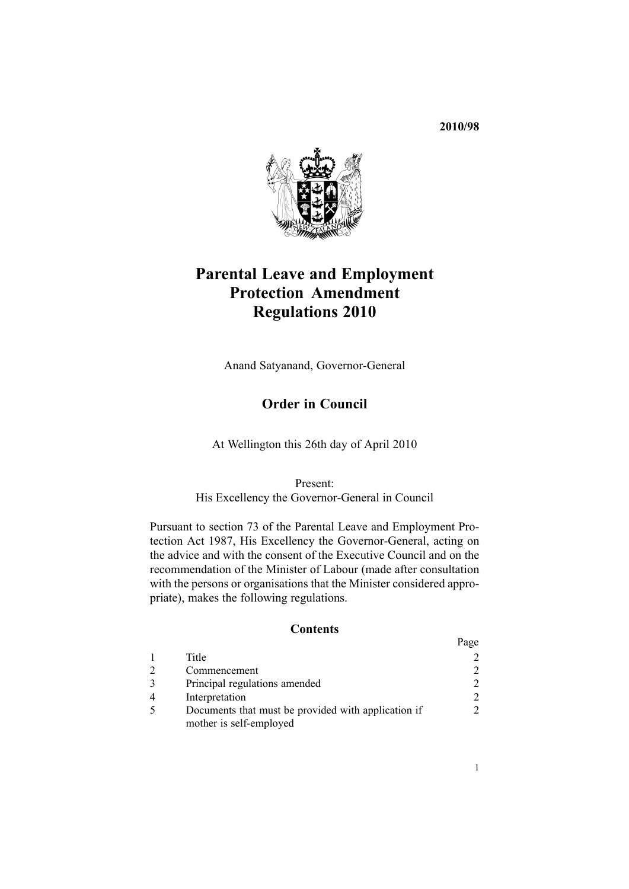**2010/98**



# **Parental Leave and Employment Protection Amendment Regulations 2010**

Anand Satyanand, Governor-General

# **Order in Council**

At Wellington this 26th day of April 2010

Present:

His Excellency the Governor-General in Council

Pursuant to [section](http://www.legislation.govt.nz/pdflink.aspx?id=DLM121784) 73 of the Parental Leave and Employment Protection Act 1987, His Excellency the Governor-General, acting on the advice and with the consent of the Executive Council and on the recommendation of the Minister of Labour (made after consultation with the persons or organisations that the Minister considered appropriate), makes the following regulations.

# **Contents**

|                                                     | Page                        |
|-----------------------------------------------------|-----------------------------|
| Title                                               |                             |
| Commencement                                        |                             |
| Principal regulations amended                       | $\mathcal{D}_{\mathcal{L}}$ |
| Interpretation                                      | 2                           |
| Documents that must be provided with application if |                             |
| mother is self-employed                             |                             |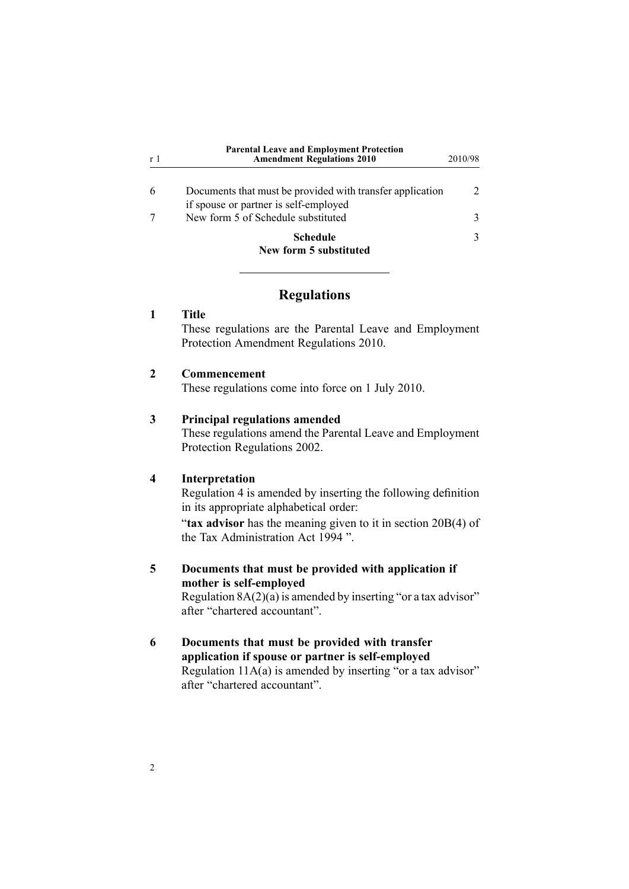<span id="page-1-0"></span>

| r 1 | <b>Parental Leave and Employment Protection</b><br><b>Amendment Regulations 2010</b> | 2010/98       |
|-----|--------------------------------------------------------------------------------------|---------------|
|     | Documents that must be provided with transfer application                            | $\mathcal{D}$ |
|     | if spouse or partner is self-employed<br>New form 5 of Schedule substituted          | 3             |
|     | <b>Schedule</b>                                                                      | 3             |
|     | New form 5 substituted                                                               |               |

#### **Regulations**

#### **1 Title**

These regulations are the Parental Leave and Employment Protection Amendment Regulations 2010.

#### **2 Commencement**

These regulations come into force on 1 July 2010.

#### **3 Principal regulations amended**

These regulations amend the Parental Leave and [Employment](http://www.legislation.govt.nz/pdflink.aspx?id=DLM1985851) Protection [Regulations](http://www.legislation.govt.nz/pdflink.aspx?id=DLM1985851) 2002.

### **4 Interpretation**

[Regulation](http://www.legislation.govt.nz/pdflink.aspx?id=DLM1985860) 4 is amended by inserting the following definition in its appropriate alphabetical order:

"**tax advisor** has the meaning given to it in section 20B(4) of the Tax Administration Act 1994 ".

## **5 Documents that must be provided with application if mother is self-employed** [Regulation](http://www.legislation.govt.nz/pdflink.aspx?id=DLM1985879)  $8A(2)(a)$  is amended by inserting "or a tax advisor"

after "chartered accountant".

### **6 Documents that must be provided with transfer application if spouse or partner is self-employed** [Regulation](http://www.legislation.govt.nz/pdflink.aspx?id=DLM1985895)  $11A(a)$  is amended by inserting "or a tax advisor" after "chartered accountant".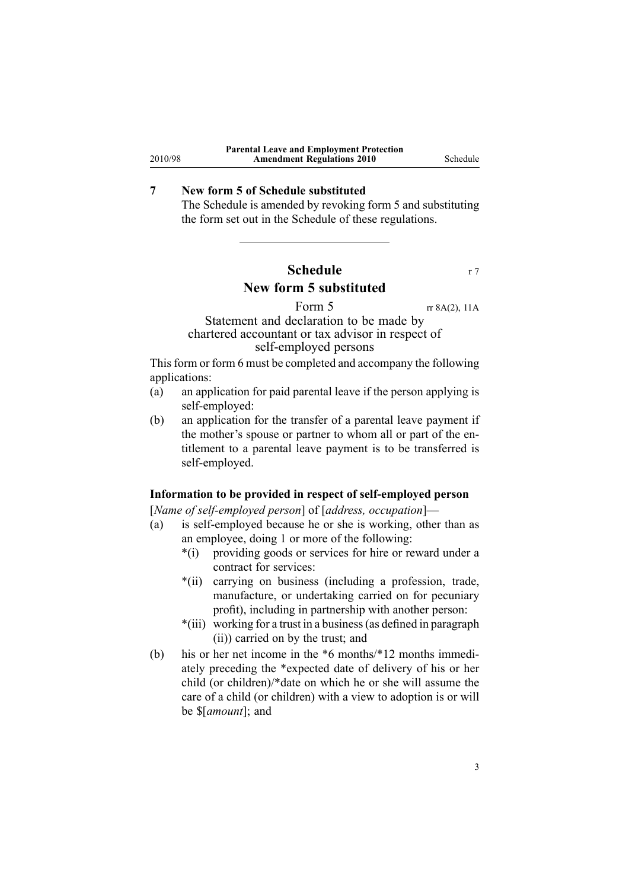# **7 New form 5 of Schedule substituted**

<span id="page-2-0"></span>2010/98

The [Schedule](http://www.legislation.govt.nz/pdflink.aspx?id=DLM1985920) is amended by revoking [form](http://www.legislation.govt.nz/pdflink.aspx?id=DLM1985938) 5 and substituting the form set out in the Schedule of these regulations.

# **Schedule** r 7 **New form 5 substituted**

### Form  $5 \text{ }$  rr 8A(2), 11A Statement and declaration to be made by chartered accountant or tax advisor in respec<sup>t</sup> of self-employed persons

This form or form 6 must be completed and accompany the following applications:

- (a) an application for paid parental leave if the person applying is self-employed:
- (b) an application for the transfer of <sup>a</sup> parental leave paymen<sup>t</sup> if the mother's spouse or partner to whom all or par<sup>t</sup> of the entitlement to <sup>a</sup> parental leave paymen<sup>t</sup> is to be transferred is self-employed.

#### **Information to be provided in respect of self-employed person**

[*Name of self-employed person*] of [*address, occupation*]—

- (a) is self-employed because he or she is working, other than as an employee, doing 1 or more of the following:
	- \*(i) providing goods or services for hire or reward under <sup>a</sup> contract for services:
	- \*(ii) carrying on business (including <sup>a</sup> profession, trade, manufacture, or undertaking carried on for pecuniary profit), including in partnership with another person:
	- \*(iii) working for <sup>a</sup> trust in <sup>a</sup> business(as defined in paragraph (ii)) carried on by the trust; and
- (b) his or her net income in the \*6 months/\*12 months immediately preceding the \*expected date of delivery of his or her child (or children)/\*date on which he or she will assume the care of <sup>a</sup> child (or children) with <sup>a</sup> view to adoption is or will be \$[*amount*]; and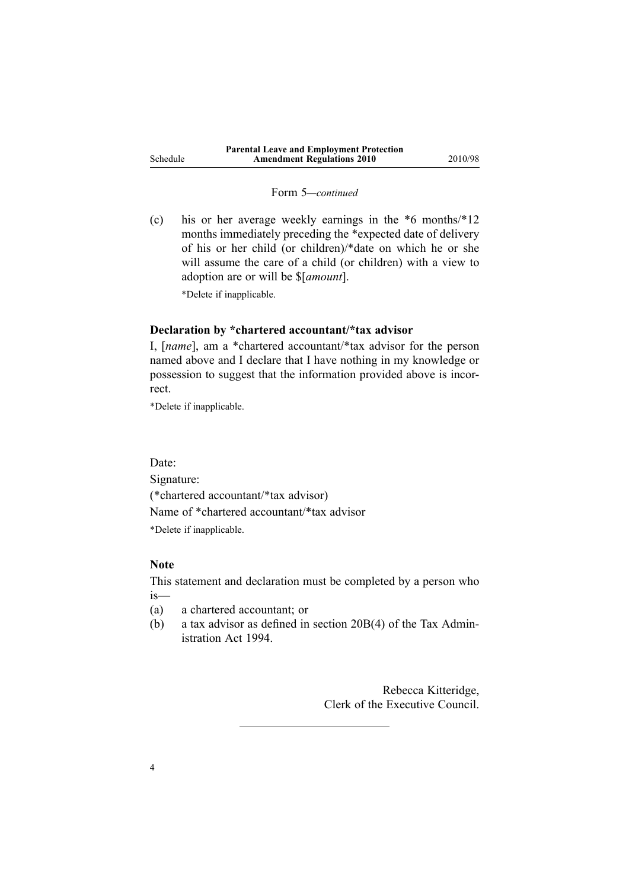#### Form 5*—continued*

(c) his or her average weekly earnings in the \*6 months/\*12 months immediately preceding the \*expected date of delivery of his or her child (or children)/\*date on which he or she will assume the care of <sup>a</sup> child (or children) with <sup>a</sup> view to adoption are or will be \$[*amount*].

\*Delete if inapplicable.

#### **Declaration by \*chartered accountant/\*tax advisor**

I, [*name*], am <sup>a</sup> \*chartered accountant/\*tax advisor for the person named above and I declare that I have nothing in my knowledge or possession to sugges<sup>t</sup> that the information provided above is incorrect.

\*Delete if inapplicable.

Date:

Signature:

(\*chartered accountant/\*tax advisor) Name of \*chartered accountant/\*tax advisor \*Delete if inapplicable.

## **Note**

This statement and declaration must be completed by <sup>a</sup> person who is—

- (a) <sup>a</sup> chartered accountant; or
- (b) <sup>a</sup> tax advisor as defined in section 20B(4) of the Tax Administration Act 1994.

Rebecca Kitteridge, Clerk of the Executive Council.